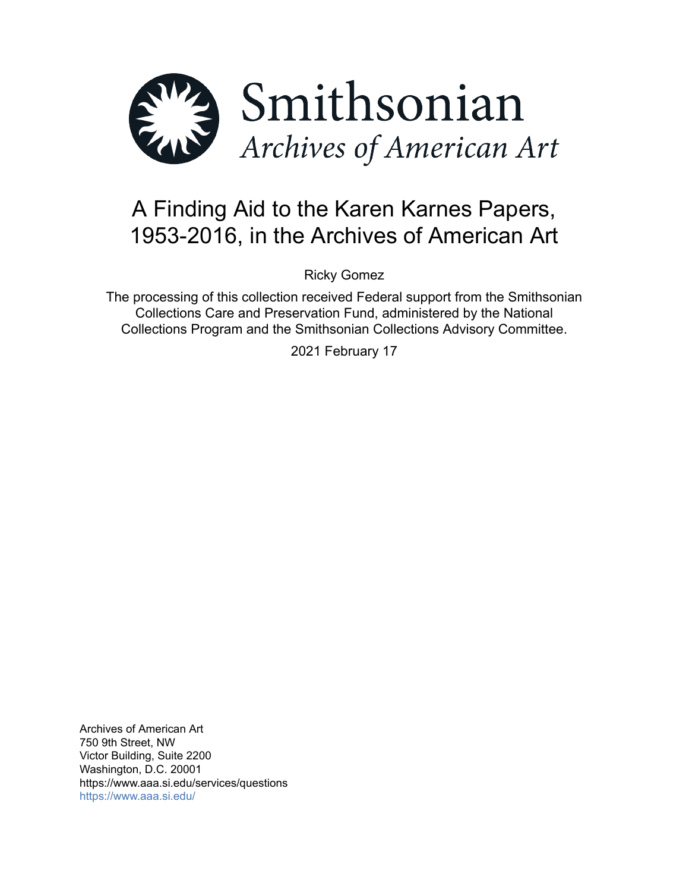

# A Finding Aid to the Karen Karnes Papers, 1953-2016, in the Archives of American Art

Ricky Gomez

The processing of this collection received Federal support from the Smithsonian Collections Care and Preservation Fund, administered by the National Collections Program and the Smithsonian Collections Advisory Committee.

2021 February 17

Archives of American Art 750 9th Street, NW Victor Building, Suite 2200 Washington, D.C. 20001 https://www.aaa.si.edu/services/questions <https://www.aaa.si.edu/>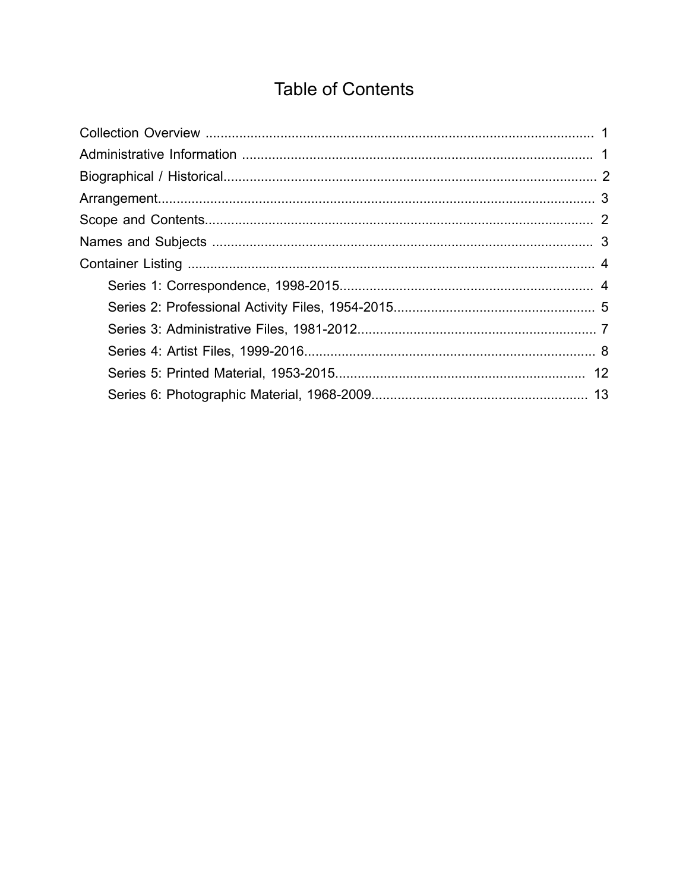# **Table of Contents**

<span id="page-1-0"></span>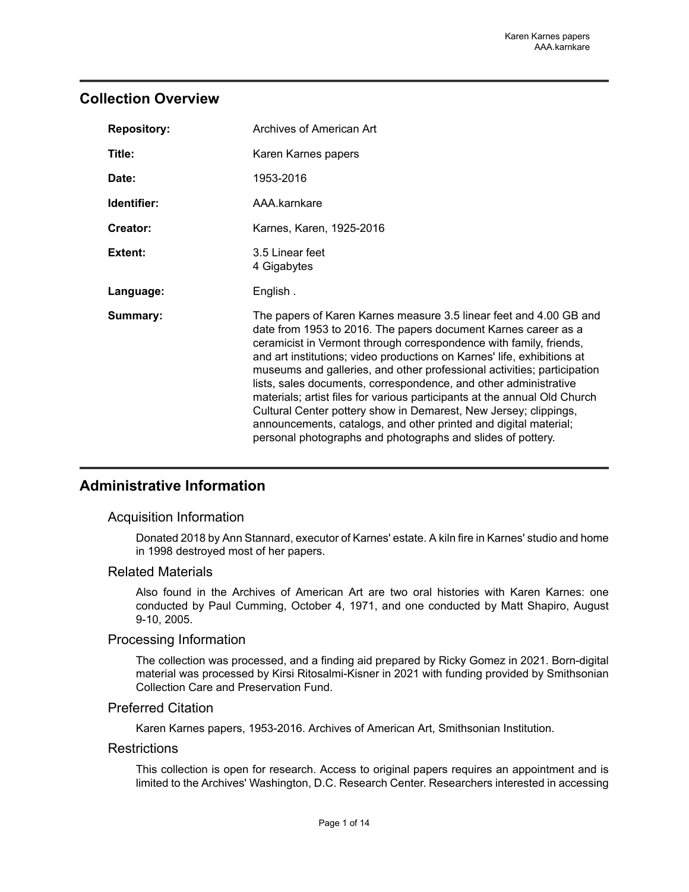### <span id="page-2-0"></span>**Collection Overview**

| <b>Repository:</b> | Archives of American Art                                                                                                                                                                                                                                                                                                                                                                                                                                                                                                                                                                                                                                                                                                 |
|--------------------|--------------------------------------------------------------------------------------------------------------------------------------------------------------------------------------------------------------------------------------------------------------------------------------------------------------------------------------------------------------------------------------------------------------------------------------------------------------------------------------------------------------------------------------------------------------------------------------------------------------------------------------------------------------------------------------------------------------------------|
| Title:             | Karen Karnes papers                                                                                                                                                                                                                                                                                                                                                                                                                                                                                                                                                                                                                                                                                                      |
| Date:              | 1953-2016                                                                                                                                                                                                                                                                                                                                                                                                                                                                                                                                                                                                                                                                                                                |
| Identifier:        | AAA.karnkare                                                                                                                                                                                                                                                                                                                                                                                                                                                                                                                                                                                                                                                                                                             |
| Creator:           | Karnes, Karen, 1925-2016                                                                                                                                                                                                                                                                                                                                                                                                                                                                                                                                                                                                                                                                                                 |
| Extent:            | 3.5 Linear feet<br>4 Gigabytes                                                                                                                                                                                                                                                                                                                                                                                                                                                                                                                                                                                                                                                                                           |
| Language:          | English.                                                                                                                                                                                                                                                                                                                                                                                                                                                                                                                                                                                                                                                                                                                 |
| Summary:           | The papers of Karen Karnes measure 3.5 linear feet and 4.00 GB and<br>date from 1953 to 2016. The papers document Karnes career as a<br>ceramicist in Vermont through correspondence with family, friends,<br>and art institutions; video productions on Karnes' life, exhibitions at<br>museums and galleries, and other professional activities; participation<br>lists, sales documents, correspondence, and other administrative<br>materials; artist files for various participants at the annual Old Church<br>Cultural Center pottery show in Demarest, New Jersey; clippings,<br>announcements, catalogs, and other printed and digital material;<br>personal photographs and photographs and slides of pottery. |

### <span id="page-2-1"></span>**Administrative Information**

#### Acquisition Information

Donated 2018 by Ann Stannard, executor of Karnes' estate. A kiln fire in Karnes' studio and home in 1998 destroyed most of her papers.

#### Related Materials

Also found in the Archives of American Art are two oral histories with Karen Karnes: one conducted by Paul Cumming, October 4, 1971, and one conducted by Matt Shapiro, August 9-10, 2005.

#### Processing Information

The collection was processed, and a finding aid prepared by Ricky Gomez in 2021. Born-digital material was processed by Kirsi Ritosalmi-Kisner in 2021 with funding provided by Smithsonian Collection Care and Preservation Fund.

#### Preferred Citation

Karen Karnes papers, 1953-2016. Archives of American Art, Smithsonian Institution.

#### **Restrictions**

This collection is open for research. Access to original papers requires an appointment and is limited to the Archives' Washington, D.C. Research Center. Researchers interested in accessing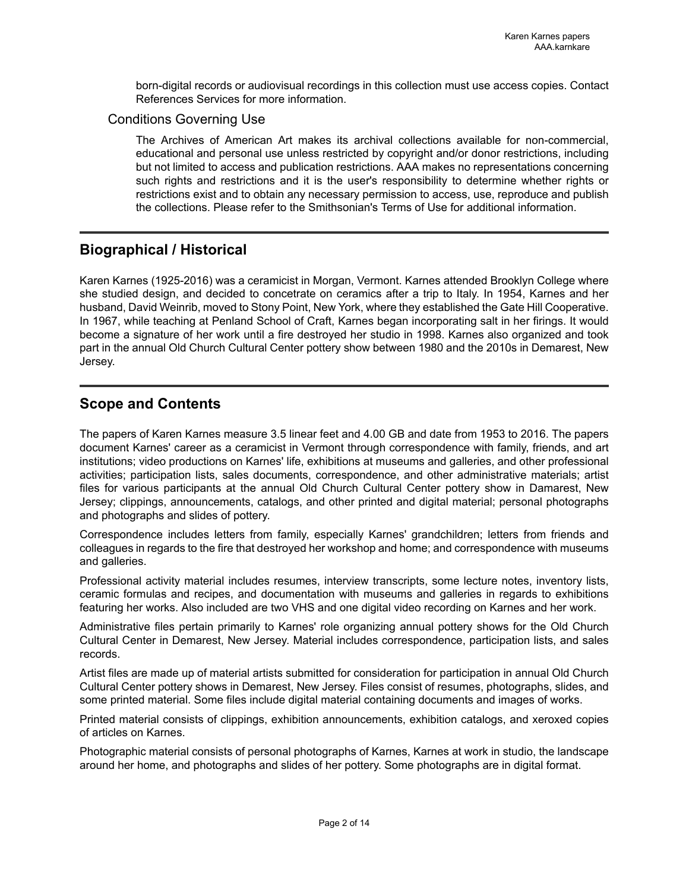born-digital records or audiovisual recordings in this collection must use access copies. Contact References Services for more information.

#### Conditions Governing Use

The Archives of American Art makes its archival collections available for non-commercial, educational and personal use unless restricted by copyright and/or donor restrictions, including but not limited to access and publication restrictions. AAA makes no representations concerning such rights and restrictions and it is the user's responsibility to determine whether rights or restrictions exist and to obtain any necessary permission to access, use, reproduce and publish the collections. Please refer to the Smithsonian's Terms of Use for additional information.

### <span id="page-3-0"></span>**Biographical / Historical**

Karen Karnes (1925-2016) was a ceramicist in Morgan, Vermont. Karnes attended Brooklyn College where she studied design, and decided to concetrate on ceramics after a trip to Italy. In 1954, Karnes and her husband, David Weinrib, moved to Stony Point, New York, where they established the Gate Hill Cooperative. In 1967, while teaching at Penland School of Craft, Karnes began incorporating salt in her firings. It would become a signature of her work until a fire destroyed her studio in 1998. Karnes also organized and took part in the annual Old Church Cultural Center pottery show between 1980 and the 2010s in Demarest, New Jersey.

### <span id="page-3-1"></span>**Scope and Contents**

The papers of Karen Karnes measure 3.5 linear feet and 4.00 GB and date from 1953 to 2016. The papers document Karnes' career as a ceramicist in Vermont through correspondence with family, friends, and art institutions; video productions on Karnes' life, exhibitions at museums and galleries, and other professional activities; participation lists, sales documents, correspondence, and other administrative materials; artist files for various participants at the annual Old Church Cultural Center pottery show in Damarest, New Jersey; clippings, announcements, catalogs, and other printed and digital material; personal photographs and photographs and slides of pottery.

Correspondence includes letters from family, especially Karnes' grandchildren; letters from friends and colleagues in regards to the fire that destroyed her workshop and home; and correspondence with museums and galleries.

Professional activity material includes resumes, interview transcripts, some lecture notes, inventory lists, ceramic formulas and recipes, and documentation with museums and galleries in regards to exhibitions featuring her works. Also included are two VHS and one digital video recording on Karnes and her work.

Administrative files pertain primarily to Karnes' role organizing annual pottery shows for the Old Church Cultural Center in Demarest, New Jersey. Material includes correspondence, participation lists, and sales records.

Artist files are made up of material artists submitted for consideration for participation in annual Old Church Cultural Center pottery shows in Demarest, New Jersey. Files consist of resumes, photographs, slides, and some printed material. Some files include digital material containing documents and images of works.

Printed material consists of clippings, exhibition announcements, exhibition catalogs, and xeroxed copies of articles on Karnes.

Photographic material consists of personal photographs of Karnes, Karnes at work in studio, the landscape around her home, and photographs and slides of her pottery. Some photographs are in digital format.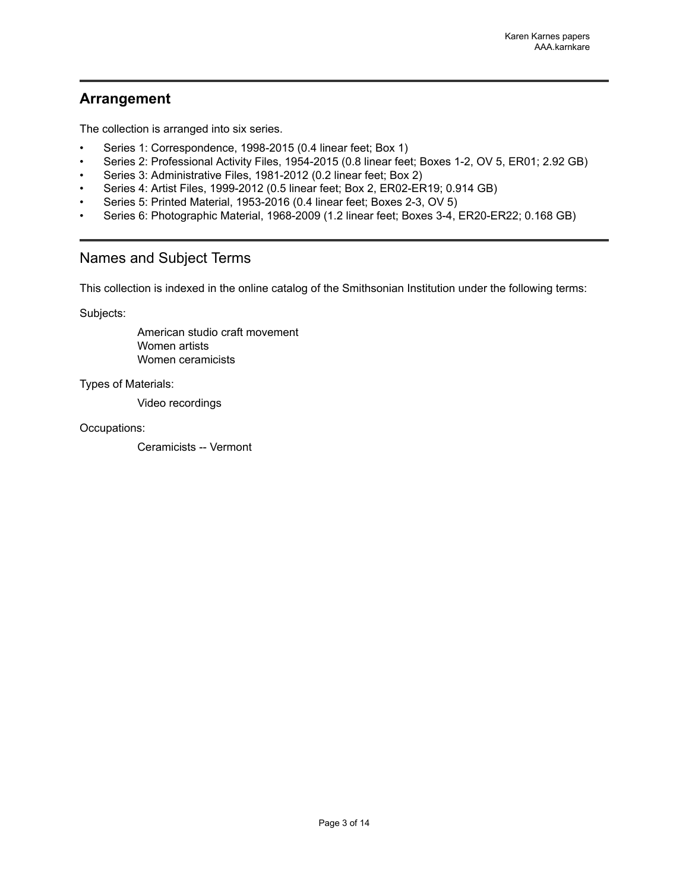### <span id="page-4-0"></span>**Arrangement**

The collection is arranged into six series.

- Series 1: Correspondence, 1998-2015 (0.4 linear feet; Box 1)
- Series 2: Professional Activity Files, 1954-2015 (0.8 linear feet; Boxes 1-2, OV 5, ER01; 2.92 GB)
- Series 3: Administrative Files, 1981-2012 (0.2 linear feet; Box 2)
- Series 4: Artist Files, 1999-2012 (0.5 linear feet; Box 2, ER02-ER19; 0.914 GB)
- Series 5: Printed Material, 1953-2016 (0.4 linear feet; Boxes 2-3, OV 5)
- Series 6: Photographic Material, 1968-2009 (1.2 linear feet; Boxes 3-4, ER20-ER22; 0.168 GB)

### <span id="page-4-1"></span>Names and Subject Terms

This collection is indexed in the online catalog of the Smithsonian Institution under the following terms:

Subjects:

American studio craft movement Women artists Women ceramicists

Types of Materials:

Video recordings

#### Occupations:

Ceramicists -- Vermont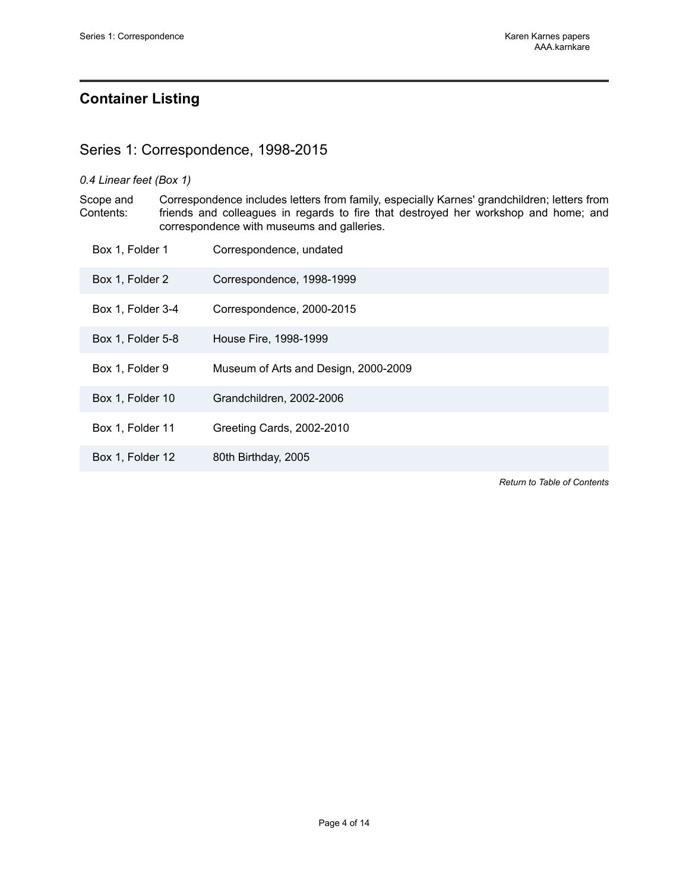### <span id="page-5-0"></span>**Container Listing**

### <span id="page-5-1"></span>Series 1: Correspondence, 1998-2015

#### *0.4 Linear feet (Box 1)*

Scope and Contents: Correspondence includes letters from family, especially Karnes' grandchildren; letters from friends and colleagues in regards to fire that destroyed her workshop and home; and correspondence with museums and galleries.

| Box 1, Folder 1   | Correspondence, undated              |
|-------------------|--------------------------------------|
| Box 1, Folder 2   | Correspondence, 1998-1999            |
| Box 1, Folder 3-4 | Correspondence, 2000-2015            |
| Box 1, Folder 5-8 | House Fire, 1998-1999                |
| Box 1, Folder 9   | Museum of Arts and Design, 2000-2009 |
| Box 1, Folder 10  | Grandchildren, 2002-2006             |
| Box 1, Folder 11  | Greeting Cards, 2002-2010            |
| Box 1, Folder 12  | 80th Birthday, 2005                  |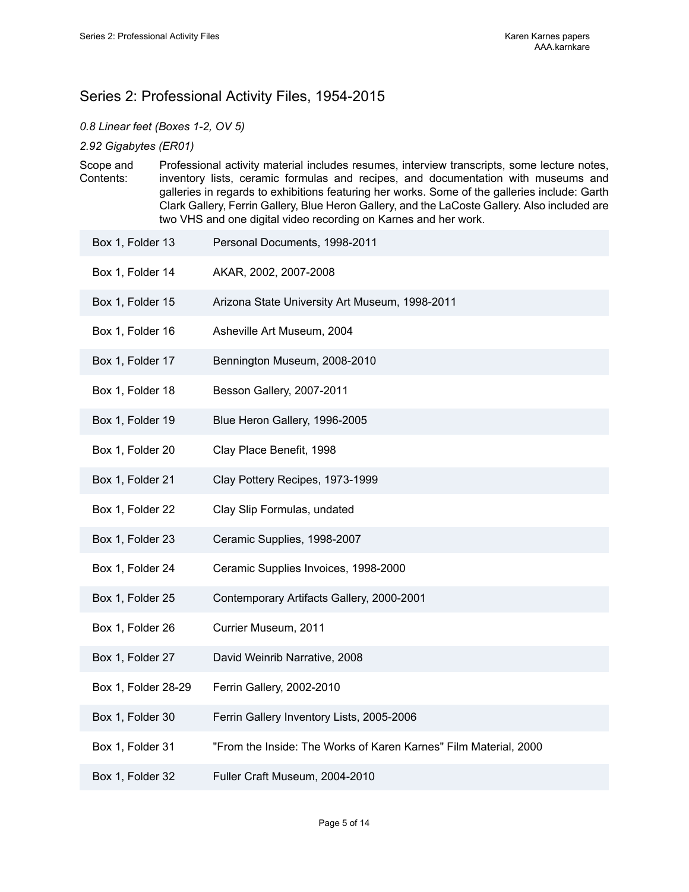### <span id="page-6-0"></span>Series 2: Professional Activity Files, 1954-2015

#### *0.8 Linear feet (Boxes 1-2, OV 5)*

*2.92 Gigabytes (ER01)*

Scope and Contents: Professional activity material includes resumes, interview transcripts, some lecture notes, inventory lists, ceramic formulas and recipes, and documentation with museums and galleries in regards to exhibitions featuring her works. Some of the galleries include: Garth Clark Gallery, Ferrin Gallery, Blue Heron Gallery, and the LaCoste Gallery. Also included are two VHS and one digital video recording on Karnes and her work.

| Box 1, Folder 13    | Personal Documents, 1998-2011                                    |
|---------------------|------------------------------------------------------------------|
| Box 1, Folder 14    | AKAR, 2002, 2007-2008                                            |
| Box 1, Folder 15    | Arizona State University Art Museum, 1998-2011                   |
| Box 1, Folder 16    | Asheville Art Museum, 2004                                       |
| Box 1, Folder 17    | Bennington Museum, 2008-2010                                     |
| Box 1, Folder 18    | Besson Gallery, 2007-2011                                        |
| Box 1, Folder 19    | Blue Heron Gallery, 1996-2005                                    |
| Box 1, Folder 20    | Clay Place Benefit, 1998                                         |
| Box 1, Folder 21    | Clay Pottery Recipes, 1973-1999                                  |
| Box 1, Folder 22    | Clay Slip Formulas, undated                                      |
| Box 1, Folder 23    | Ceramic Supplies, 1998-2007                                      |
| Box 1, Folder 24    | Ceramic Supplies Invoices, 1998-2000                             |
| Box 1, Folder 25    | Contemporary Artifacts Gallery, 2000-2001                        |
| Box 1, Folder 26    | Currier Museum, 2011                                             |
| Box 1, Folder 27    | David Weinrib Narrative, 2008                                    |
| Box 1, Folder 28-29 | Ferrin Gallery, 2002-2010                                        |
| Box 1, Folder 30    | Ferrin Gallery Inventory Lists, 2005-2006                        |
| Box 1, Folder 31    | "From the Inside: The Works of Karen Karnes" Film Material, 2000 |
| Box 1, Folder 32    | Fuller Craft Museum, 2004-2010                                   |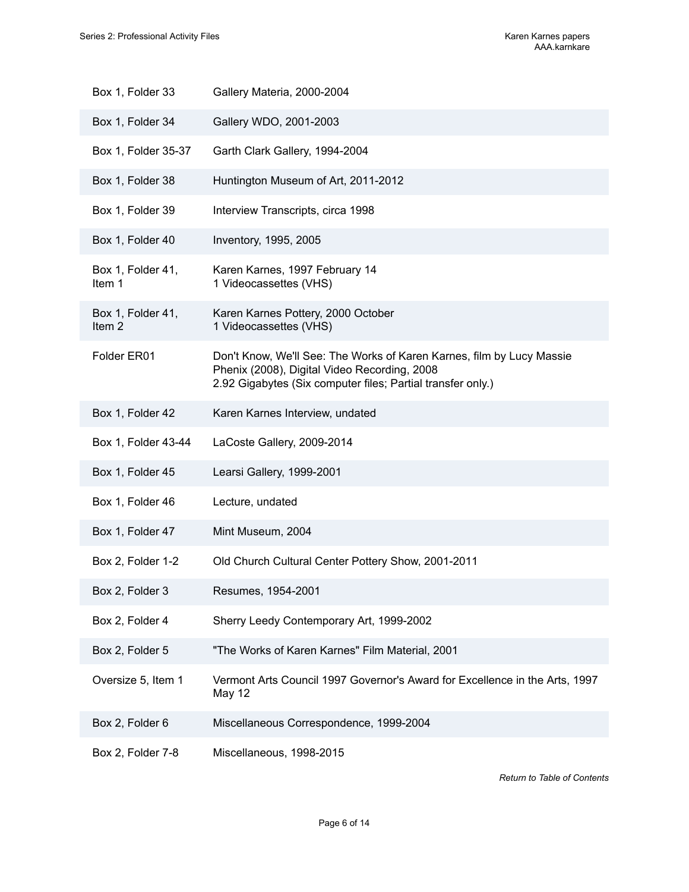| Box 1, Folder 33            | Gallery Materia, 2000-2004                                                                                                                                                           |
|-----------------------------|--------------------------------------------------------------------------------------------------------------------------------------------------------------------------------------|
| Box 1, Folder 34            | Gallery WDO, 2001-2003                                                                                                                                                               |
| Box 1, Folder 35-37         | Garth Clark Gallery, 1994-2004                                                                                                                                                       |
| Box 1, Folder 38            | Huntington Museum of Art, 2011-2012                                                                                                                                                  |
| Box 1, Folder 39            | Interview Transcripts, circa 1998                                                                                                                                                    |
| Box 1, Folder 40            | Inventory, 1995, 2005                                                                                                                                                                |
| Box 1, Folder 41,<br>Item 1 | Karen Karnes, 1997 February 14<br>1 Videocassettes (VHS)                                                                                                                             |
| Box 1, Folder 41,<br>Item 2 | Karen Karnes Pottery, 2000 October<br>1 Videocassettes (VHS)                                                                                                                         |
| Folder ER01                 | Don't Know, We'll See: The Works of Karen Karnes, film by Lucy Massie<br>Phenix (2008), Digital Video Recording, 2008<br>2.92 Gigabytes (Six computer files; Partial transfer only.) |
| Box 1, Folder 42            | Karen Karnes Interview, undated                                                                                                                                                      |
| Box 1, Folder 43-44         | LaCoste Gallery, 2009-2014                                                                                                                                                           |
| Box 1, Folder 45            | Learsi Gallery, 1999-2001                                                                                                                                                            |
| Box 1, Folder 46            | Lecture, undated                                                                                                                                                                     |
| Box 1, Folder 47            | Mint Museum, 2004                                                                                                                                                                    |
| Box 2, Folder 1-2           | Old Church Cultural Center Pottery Show, 2001-2011                                                                                                                                   |
| Box 2, Folder 3             | Resumes, 1954-2001                                                                                                                                                                   |
| Box 2, Folder 4             | Sherry Leedy Contemporary Art, 1999-2002                                                                                                                                             |
| Box 2, Folder 5             | "The Works of Karen Karnes" Film Material, 2001                                                                                                                                      |
| Oversize 5, Item 1          | Vermont Arts Council 1997 Governor's Award for Excellence in the Arts, 1997<br>May 12                                                                                                |
| Box 2, Folder 6             | Miscellaneous Correspondence, 1999-2004                                                                                                                                              |
| Box 2, Folder 7-8           | Miscellaneous, 1998-2015                                                                                                                                                             |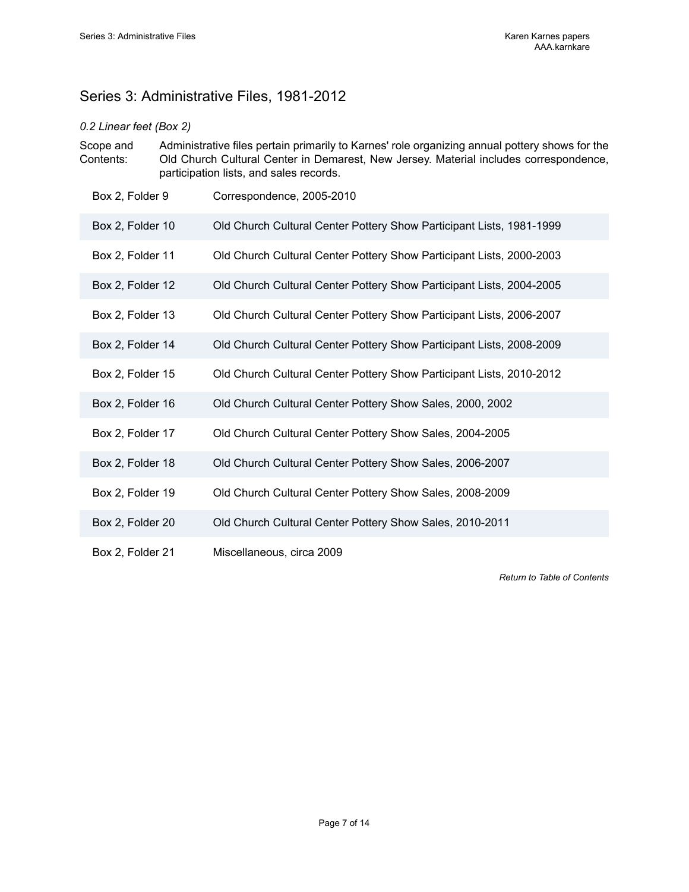# <span id="page-8-0"></span>Series 3: Administrative Files, 1981-2012

### *0.2 Linear feet (Box 2)*

| Scope and | Administrative files pertain primarily to Karnes' role organizing annual pottery shows for the |
|-----------|------------------------------------------------------------------------------------------------|
| Contents: | Old Church Cultural Center in Demarest, New Jersey. Material includes correspondence,          |
|           | participation lists, and sales records.                                                        |

| Box 2, Folder 9  | Correspondence, 2005-2010                                            |
|------------------|----------------------------------------------------------------------|
| Box 2, Folder 10 | Old Church Cultural Center Pottery Show Participant Lists, 1981-1999 |
| Box 2, Folder 11 | Old Church Cultural Center Pottery Show Participant Lists, 2000-2003 |
| Box 2, Folder 12 | Old Church Cultural Center Pottery Show Participant Lists, 2004-2005 |
| Box 2, Folder 13 | Old Church Cultural Center Pottery Show Participant Lists, 2006-2007 |
| Box 2, Folder 14 | Old Church Cultural Center Pottery Show Participant Lists, 2008-2009 |
| Box 2, Folder 15 | Old Church Cultural Center Pottery Show Participant Lists, 2010-2012 |
| Box 2, Folder 16 | Old Church Cultural Center Pottery Show Sales, 2000, 2002            |
| Box 2, Folder 17 | Old Church Cultural Center Pottery Show Sales, 2004-2005             |
| Box 2, Folder 18 | Old Church Cultural Center Pottery Show Sales, 2006-2007             |
| Box 2, Folder 19 | Old Church Cultural Center Pottery Show Sales, 2008-2009             |
| Box 2, Folder 20 | Old Church Cultural Center Pottery Show Sales, 2010-2011             |
| Box 2, Folder 21 | Miscellaneous, circa 2009                                            |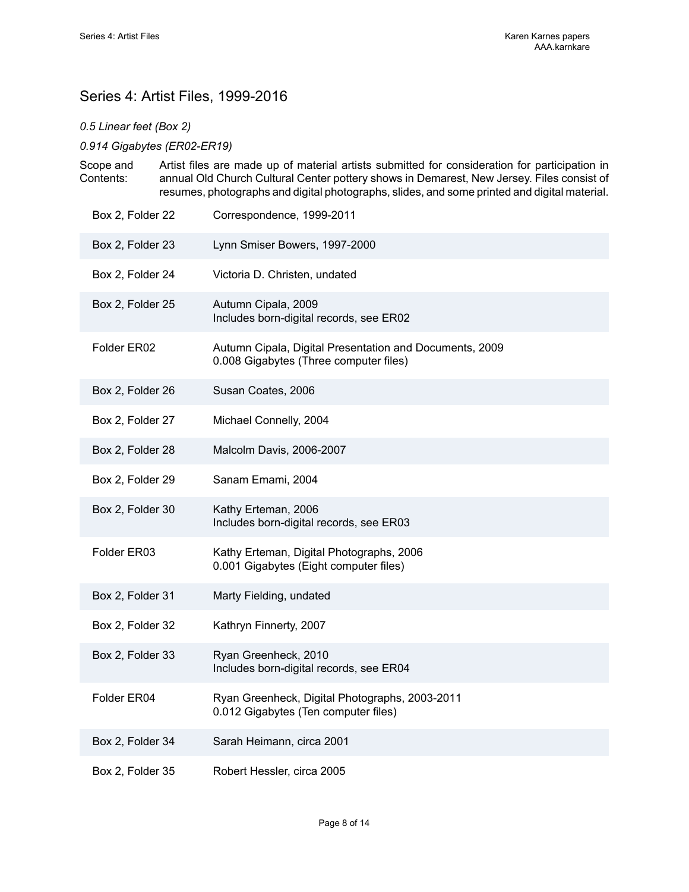## <span id="page-9-0"></span>Series 4: Artist Files, 1999-2016

*0.5 Linear feet (Box 2)*

*0.914 Gigabytes (ER02-ER19)*

| Scope and | Artist files are made up of material artists submitted for consideration for participation in |
|-----------|-----------------------------------------------------------------------------------------------|
| Contents: | annual Old Church Cultural Center pottery shows in Demarest, New Jersey. Files consist of     |
|           | resumes, photographs and digital photographs, slides, and some printed and digital material.  |

| Box 2, Folder 22 | Correspondence, 1999-2011                                                                         |
|------------------|---------------------------------------------------------------------------------------------------|
| Box 2, Folder 23 | Lynn Smiser Bowers, 1997-2000                                                                     |
| Box 2, Folder 24 | Victoria D. Christen, undated                                                                     |
| Box 2, Folder 25 | Autumn Cipala, 2009<br>Includes born-digital records, see ER02                                    |
| Folder ER02      | Autumn Cipala, Digital Presentation and Documents, 2009<br>0.008 Gigabytes (Three computer files) |
| Box 2, Folder 26 | Susan Coates, 2006                                                                                |
| Box 2, Folder 27 | Michael Connelly, 2004                                                                            |
| Box 2, Folder 28 | Malcolm Davis, 2006-2007                                                                          |
| Box 2, Folder 29 | Sanam Emami, 2004                                                                                 |
| Box 2, Folder 30 | Kathy Erteman, 2006<br>Includes born-digital records, see ER03                                    |
| Folder ER03      | Kathy Erteman, Digital Photographs, 2006<br>0.001 Gigabytes (Eight computer files)                |
| Box 2, Folder 31 | Marty Fielding, undated                                                                           |
| Box 2, Folder 32 | Kathryn Finnerty, 2007                                                                            |
| Box 2, Folder 33 | Ryan Greenheck, 2010<br>Includes born-digital records, see ER04                                   |
| Folder ER04      | Ryan Greenheck, Digital Photographs, 2003-2011<br>0.012 Gigabytes (Ten computer files)            |
| Box 2, Folder 34 | Sarah Heimann, circa 2001                                                                         |
| Box 2, Folder 35 | Robert Hessler, circa 2005                                                                        |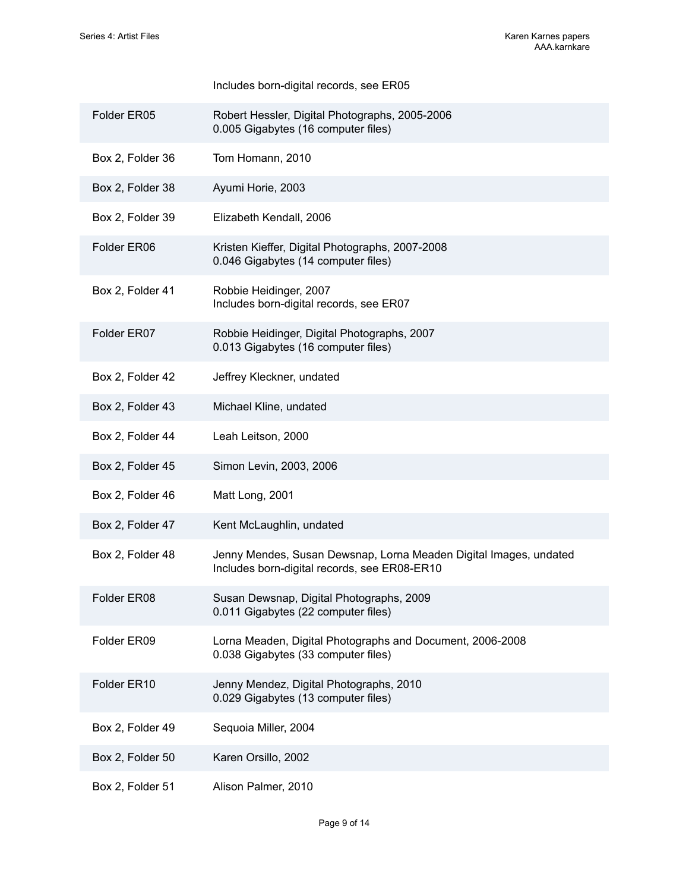# Includes born-digital records, see ER05 Folder ER05 Robert Hessler, Digital Photographs, 2005-2006 0.005 Gigabytes (16 computer files) Box 2, Folder 36 Tom Homann, 2010 Box 2, Folder 38 Ayumi Horie, 2003 Box 2, Folder 39 Elizabeth Kendall, 2006 Folder ER06 Kristen Kieffer, Digital Photographs, 2007-2008 0.046 Gigabytes (14 computer files) Box 2, Folder 41 Robbie Heidinger, 2007 Includes born-digital records, see ER07 Folder ER07 Robbie Heidinger, Digital Photographs, 2007 0.013 Gigabytes (16 computer files) Box 2, Folder 42 Jeffrey Kleckner, undated Box 2, Folder 43 Michael Kline, undated Box 2, Folder 44 Leah Leitson, 2000 Box 2, Folder 45 Simon Levin, 2003, 2006 Box 2, Folder 46 Matt Long, 2001 Box 2, Folder 47 Kent McLaughlin, undated Box 2, Folder 48 Jenny Mendes, Susan Dewsnap, Lorna Meaden Digital Images, undated Includes born-digital records, see ER08-ER10 Folder ER08 Susan Dewsnap, Digital Photographs, 2009 0.011 Gigabytes (22 computer files) Folder ER09 Lorna Meaden, Digital Photographs and Document, 2006-2008 0.038 Gigabytes (33 computer files) Folder ER10 Jenny Mendez, Digital Photographs, 2010 0.029 Gigabytes (13 computer files) Box 2, Folder 49 Sequoia Miller, 2004

- Box 2, Folder 50 Karen Orsillo, 2002
- Box 2, Folder 51 Alison Palmer, 2010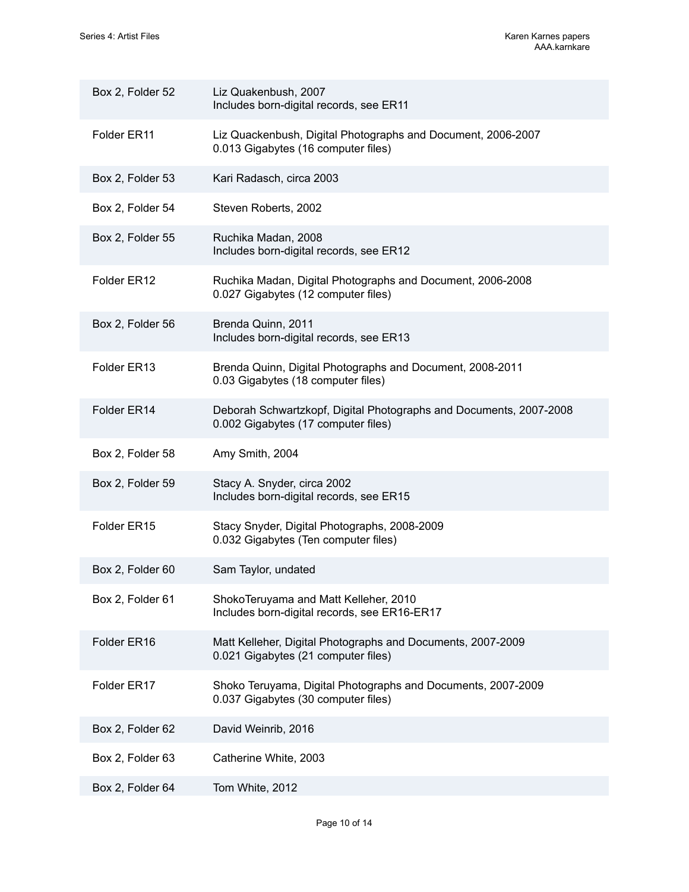| Box 2, Folder 52 | Liz Quakenbush, 2007<br>Includes born-digital records, see ER11                                           |
|------------------|-----------------------------------------------------------------------------------------------------------|
| Folder ER11      | Liz Quackenbush, Digital Photographs and Document, 2006-2007<br>0.013 Gigabytes (16 computer files)       |
| Box 2, Folder 53 | Kari Radasch, circa 2003                                                                                  |
| Box 2, Folder 54 | Steven Roberts, 2002                                                                                      |
| Box 2, Folder 55 | Ruchika Madan, 2008<br>Includes born-digital records, see ER12                                            |
| Folder ER12      | Ruchika Madan, Digital Photographs and Document, 2006-2008<br>0.027 Gigabytes (12 computer files)         |
| Box 2, Folder 56 | Brenda Quinn, 2011<br>Includes born-digital records, see ER13                                             |
| Folder ER13      | Brenda Quinn, Digital Photographs and Document, 2008-2011<br>0.03 Gigabytes (18 computer files)           |
| Folder ER14      | Deborah Schwartzkopf, Digital Photographs and Documents, 2007-2008<br>0.002 Gigabytes (17 computer files) |
| Box 2, Folder 58 | Amy Smith, 2004                                                                                           |
| Box 2, Folder 59 | Stacy A. Snyder, circa 2002<br>Includes born-digital records, see ER15                                    |
| Folder ER15      | Stacy Snyder, Digital Photographs, 2008-2009<br>0.032 Gigabytes (Ten computer files)                      |
| Box 2, Folder 60 | Sam Taylor, undated                                                                                       |
| Box 2, Folder 61 | ShokoTeruyama and Matt Kelleher, 2010<br>Includes born-digital records, see ER16-ER17                     |
| Folder ER16      | Matt Kelleher, Digital Photographs and Documents, 2007-2009<br>0.021 Gigabytes (21 computer files)        |
| Folder ER17      | Shoko Teruyama, Digital Photographs and Documents, 2007-2009<br>0.037 Gigabytes (30 computer files)       |
| Box 2, Folder 62 | David Weinrib, 2016                                                                                       |
| Box 2, Folder 63 | Catherine White, 2003                                                                                     |
| Box 2, Folder 64 | Tom White, 2012                                                                                           |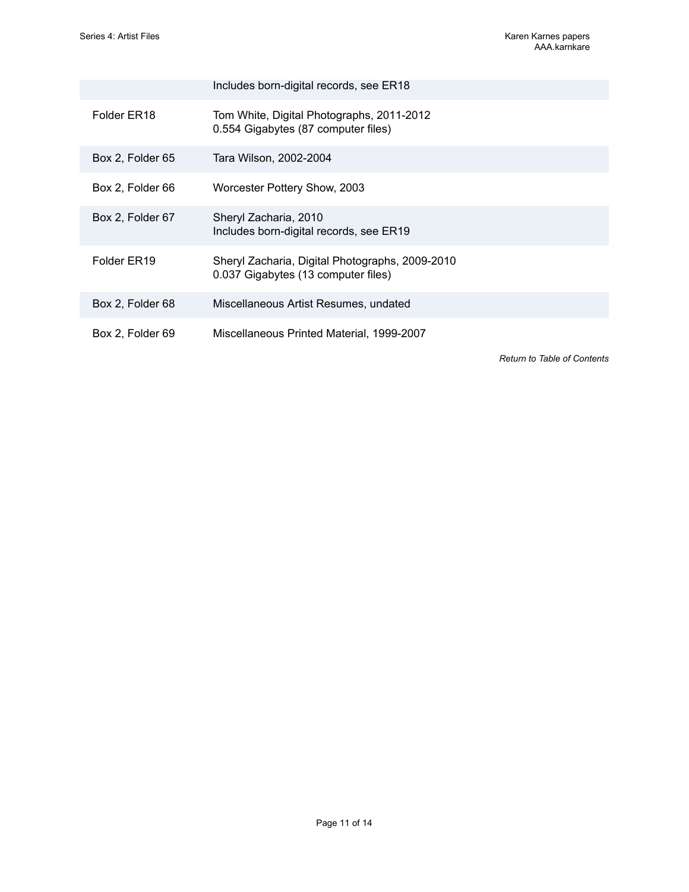|                  | Includes born-digital records, see ER18                                                |
|------------------|----------------------------------------------------------------------------------------|
| Folder ER18      | Tom White, Digital Photographs, 2011-2012<br>0.554 Gigabytes (87 computer files)       |
| Box 2, Folder 65 | Tara Wilson, 2002-2004                                                                 |
| Box 2, Folder 66 | Worcester Pottery Show, 2003                                                           |
| Box 2, Folder 67 | Sheryl Zacharia, 2010<br>Includes born-digital records, see ER19                       |
| Folder ER19      | Sheryl Zacharia, Digital Photographs, 2009-2010<br>0.037 Gigabytes (13 computer files) |
| Box 2, Folder 68 | Miscellaneous Artist Resumes, undated                                                  |
| Box 2, Folder 69 | Miscellaneous Printed Material, 1999-2007                                              |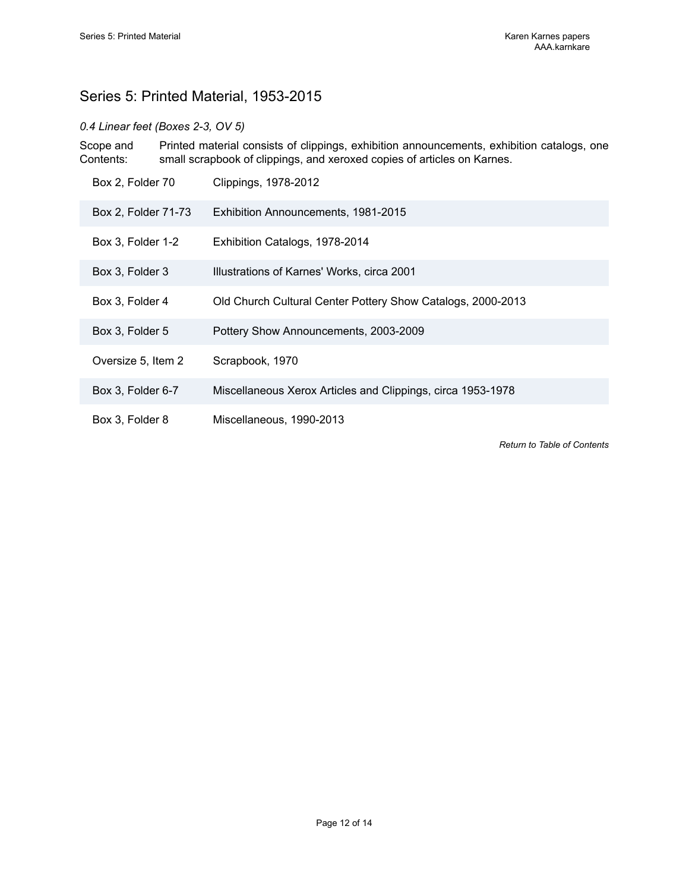## <span id="page-13-0"></span>Series 5: Printed Material, 1953-2015

#### *0.4 Linear feet (Boxes 2-3, OV 5)*

Scope and Contents: Printed material consists of clippings, exhibition announcements, exhibition catalogs, one small scrapbook of clippings, and xeroxed copies of articles on Karnes.

| Box 2, Folder 70    | Clippings, 1978-2012                                        |
|---------------------|-------------------------------------------------------------|
| Box 2, Folder 71-73 | Exhibition Announcements, 1981-2015                         |
| Box 3, Folder 1-2   | Exhibition Catalogs, 1978-2014                              |
| Box 3, Folder 3     | Illustrations of Karnes' Works, circa 2001                  |
| Box 3, Folder 4     | Old Church Cultural Center Pottery Show Catalogs, 2000-2013 |
| Box 3, Folder 5     | Pottery Show Announcements, 2003-2009                       |
| Oversize 5, Item 2  | Scrapbook, 1970                                             |
| Box 3, Folder 6-7   | Miscellaneous Xerox Articles and Clippings, circa 1953-1978 |
| Box 3, Folder 8     | Miscellaneous, 1990-2013                                    |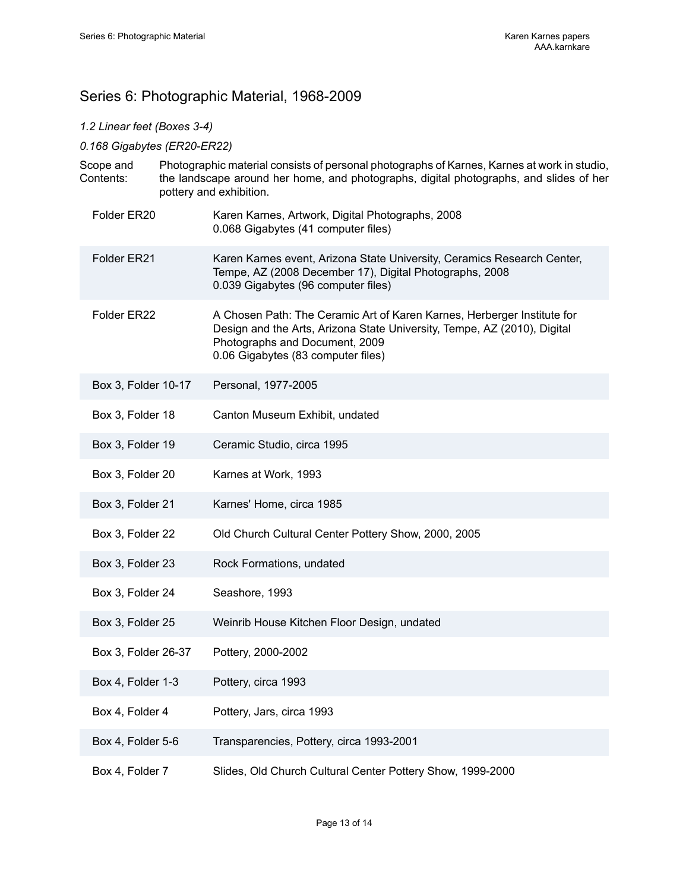## <span id="page-14-0"></span>Series 6: Photographic Material, 1968-2009

### *1.2 Linear feet (Boxes 3-4)*

#### *0.168 Gigabytes (ER20-ER22)*

|  | Scope and<br>Contents: | Photographic material consists of personal photographs of Karnes, Karnes at work in studio,<br>the landscape around her home, and photographs, digital photographs, and slides of her<br>pottery and exhibition. |                                                                                                                                                                                                                             |
|--|------------------------|------------------------------------------------------------------------------------------------------------------------------------------------------------------------------------------------------------------|-----------------------------------------------------------------------------------------------------------------------------------------------------------------------------------------------------------------------------|
|  | Folder ER20            |                                                                                                                                                                                                                  | Karen Karnes, Artwork, Digital Photographs, 2008<br>0.068 Gigabytes (41 computer files)                                                                                                                                     |
|  | Folder ER21            |                                                                                                                                                                                                                  | Karen Karnes event, Arizona State University, Ceramics Research Center,<br>Tempe, AZ (2008 December 17), Digital Photographs, 2008<br>0.039 Gigabytes (96 computer files)                                                   |
|  | Folder ER22            |                                                                                                                                                                                                                  | A Chosen Path: The Ceramic Art of Karen Karnes, Herberger Institute for<br>Design and the Arts, Arizona State University, Tempe, AZ (2010), Digital<br>Photographs and Document, 2009<br>0.06 Gigabytes (83 computer files) |
|  | Box 3, Folder 10-17    |                                                                                                                                                                                                                  | Personal, 1977-2005                                                                                                                                                                                                         |
|  | Box 3, Folder 18       |                                                                                                                                                                                                                  | Canton Museum Exhibit, undated                                                                                                                                                                                              |
|  | Box 3, Folder 19       |                                                                                                                                                                                                                  | Ceramic Studio, circa 1995                                                                                                                                                                                                  |
|  | Box 3, Folder 20       |                                                                                                                                                                                                                  | Karnes at Work, 1993                                                                                                                                                                                                        |
|  | Box 3, Folder 21       |                                                                                                                                                                                                                  | Karnes' Home, circa 1985                                                                                                                                                                                                    |
|  | Box 3, Folder 22       |                                                                                                                                                                                                                  | Old Church Cultural Center Pottery Show, 2000, 2005                                                                                                                                                                         |
|  | Box 3, Folder 23       |                                                                                                                                                                                                                  | Rock Formations, undated                                                                                                                                                                                                    |
|  | Box 3, Folder 24       |                                                                                                                                                                                                                  | Seashore, 1993                                                                                                                                                                                                              |
|  | Box 3, Folder 25       |                                                                                                                                                                                                                  | Weinrib House Kitchen Floor Design, undated                                                                                                                                                                                 |
|  | Box 3, Folder 26-37    |                                                                                                                                                                                                                  | Pottery, 2000-2002                                                                                                                                                                                                          |
|  | Box 4, Folder 1-3      |                                                                                                                                                                                                                  | Pottery, circa 1993                                                                                                                                                                                                         |
|  | Box 4, Folder 4        |                                                                                                                                                                                                                  | Pottery, Jars, circa 1993                                                                                                                                                                                                   |
|  | Box 4, Folder 5-6      |                                                                                                                                                                                                                  | Transparencies, Pottery, circa 1993-2001                                                                                                                                                                                    |
|  | Box 4, Folder 7        |                                                                                                                                                                                                                  | Slides, Old Church Cultural Center Pottery Show, 1999-2000                                                                                                                                                                  |